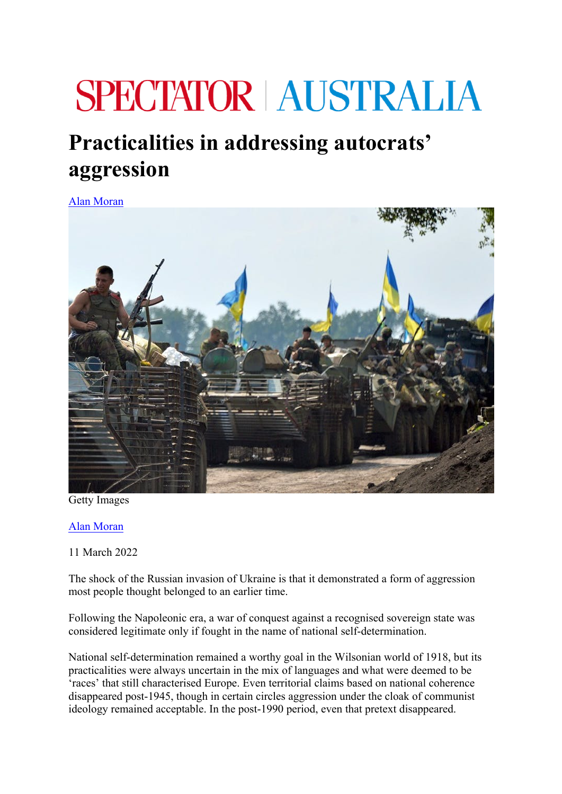## **SPECTATOR AUSTRALIA**

## **Practicalities in addressing autocrats' aggression**

Alan Moran



Getty Images

Alan Moran

11 March 2022

The shock of the Russian invasion of Ukraine is that it demonstrated a form of aggression most people thought belonged to an earlier time.

Following the Napoleonic era, a war of conquest against a recognised sovereign state was considered legitimate only if fought in the name of national self-determination.

National self-determination remained a worthy goal in the Wilsonian world of 1918, but its practicalities were always uncertain in the mix of languages and what were deemed to be 'races' that still characterised Europe. Even territorial claims based on national coherence disappeared post-1945, though in certain circles aggression under the cloak of communist ideology remained acceptable. In the post-1990 period, even that pretext disappeared.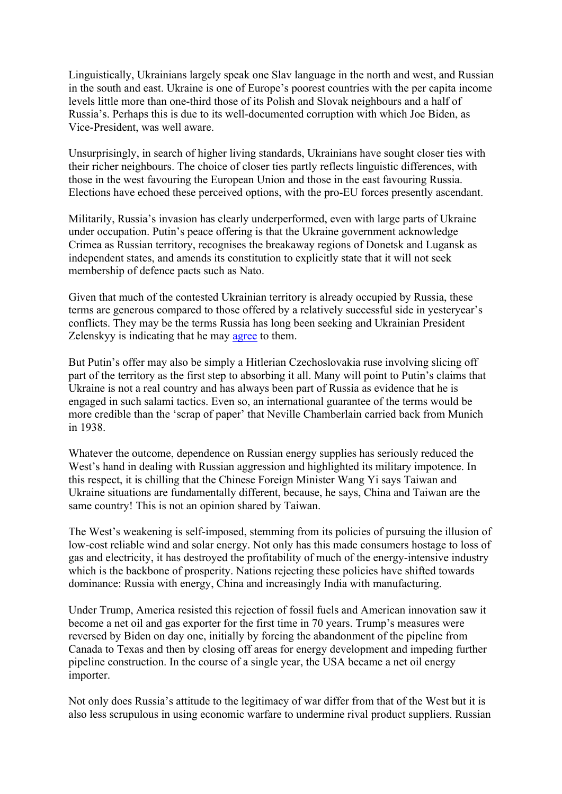Linguistically, Ukrainians largely speak one Slav language in the north and west, and Russian in the south and east. Ukraine is one of Europe's poorest countries with the per capita income levels little more than one-third those of its Polish and Slovak neighbours and a half of Russia's. Perhaps this is due to its well-documented corruption with which Joe Biden, as Vice-President, was well aware.

Unsurprisingly, in search of higher living standards, Ukrainians have sought closer ties with their richer neighbours. The choice of closer ties partly reflects linguistic differences, with those in the west favouring the European Union and those in the east favouring Russia. Elections have echoed these perceived options, with the pro-EU forces presently ascendant.

Militarily, Russia's invasion has clearly underperformed, even with large parts of Ukraine under occupation. Putin's peace offering is that the Ukraine government acknowledge Crimea as Russian territory, recognises the breakaway regions of Donetsk and Lugansk as independent states, and amends its constitution to explicitly state that it will not seek membership of defence pacts such as Nato.

Given that much of the contested Ukrainian territory is already occupied by Russia, these terms are generous compared to those offered by a relatively successful side in yesteryear's conflicts. They may be the terms Russia has long been seeking and Ukrainian President Zelenskyy is indicating that he may agree to them.

But Putin's offer may also be simply a Hitlerian Czechoslovakia ruse involving slicing off part of the territory as the first step to absorbing it all. Many will point to Putin's claims that Ukraine is not a real country and has always been part of Russia as evidence that he is engaged in such salami tactics. Even so, an international guarantee of the terms would be more credible than the 'scrap of paper' that Neville Chamberlain carried back from Munich in 1938.

Whatever the outcome, dependence on Russian energy supplies has seriously reduced the West's hand in dealing with Russian aggression and highlighted its military impotence. In this respect, it is chilling that the Chinese Foreign Minister Wang Yi says Taiwan and Ukraine situations are fundamentally different, because, he says, China and Taiwan are the same country! This is not an opinion shared by Taiwan.

The West's weakening is self-imposed, stemming from its policies of pursuing the illusion of low-cost reliable wind and solar energy. Not only has this made consumers hostage to loss of gas and electricity, it has destroyed the profitability of much of the energy-intensive industry which is the backbone of prosperity. Nations rejecting these policies have shifted towards dominance: Russia with energy, China and increasingly India with manufacturing.

Under Trump, America resisted this rejection of fossil fuels and American innovation saw it become a net oil and gas exporter for the first time in 70 years. Trump's measures were reversed by Biden on day one, initially by forcing the abandonment of the pipeline from Canada to Texas and then by closing off areas for energy development and impeding further pipeline construction. In the course of a single year, the USA became a net oil energy importer.

Not only does Russia's attitude to the legitimacy of war differ from that of the West but it is also less scrupulous in using economic warfare to undermine rival product suppliers. Russian